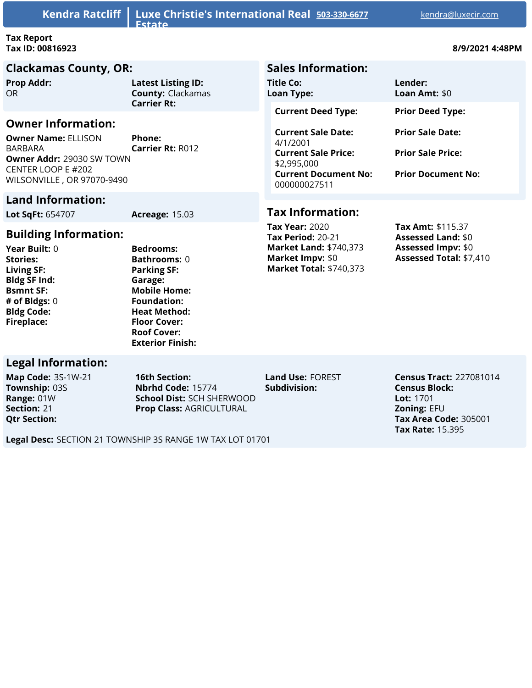| Kendra Ratcliff   Luxe Christie's International Real 503-330-6677<br><b>Estate</b>                                                                                       |                                                       |                                                                                                                                   | kendra@luxecir.com                                                               |
|--------------------------------------------------------------------------------------------------------------------------------------------------------------------------|-------------------------------------------------------|-----------------------------------------------------------------------------------------------------------------------------------|----------------------------------------------------------------------------------|
| <b>Tax Report</b><br>Tax ID: 00816923                                                                                                                                    |                                                       |                                                                                                                                   | 8/9/2021 4:48PM                                                                  |
| <b>Clackamas County, OR:</b>                                                                                                                                             |                                                       | <b>Sales Information:</b>                                                                                                         |                                                                                  |
| <b>Prop Addr:</b><br><b>OR</b>                                                                                                                                           | <b>Latest Listing ID:</b><br><b>County: Clackamas</b> | Title Co:<br><b>Loan Type:</b>                                                                                                    | Lender:<br>Loan Amt: $$0$                                                        |
|                                                                                                                                                                          | <b>Carrier Rt:</b>                                    | <b>Current Deed Type:</b>                                                                                                         | <b>Prior Deed Type:</b>                                                          |
| <b>Owner Information:</b><br><b>Owner Name: ELLISON</b><br><b>BARBARA</b><br><b>Owner Addr: 29030 SW TOWN</b><br><b>CENTER LOOP E #202</b><br>WILSONVILLE, OR 97070-9490 | Phone:<br><b>Carrier Rt: R012</b>                     | <b>Current Sale Date:</b><br>4/1/2001<br><b>Current Sale Price:</b><br>\$2,995,000<br><b>Current Document No:</b><br>000000027511 | <b>Prior Sale Date:</b><br><b>Prior Sale Price:</b><br><b>Prior Document No:</b> |
| <b>Land Information:</b>                                                                                                                                                 |                                                       |                                                                                                                                   |                                                                                  |
| <b>Lot SqFt: 654707</b>                                                                                                                                                  | <b>Acreage: 15.03</b>                                 | <b>Tax Information:</b>                                                                                                           |                                                                                  |
|                                                                                                                                                                          |                                                       | <b>Tax Year: 2020</b>                                                                                                             | <b>Tax Amt: \$115.37</b>                                                         |

#### **Building Information:**

**Year Built:** 0 **Stories: Living SF: Bldg SF Ind: Bsmnt SF: # of Bldgs:** 0 **Bldg Code: Fireplace:**

**Bedrooms: Bathrooms:** 0 **Parking SF: Garage: Mobile Home: Foundation: Heat Method: Floor Cover: Roof Cover: Exterior Finish:**

#### **Legal Information:**

**Map Code:** 3S-1W-21 **Township:** 03S **Range:** 01W **Section:** 21 **Qtr Section:**

**16th Section: Nbrhd Code:** 15774 **School Dist:** SCH SHERWOOD **Prop Class:** AGRICULTURAL

**Subdivision:**

**Tax Period:** 20-21 **Market Land:** \$740,373

**Market Impv:** \$0 **Market Total:** \$740,373

> **Census Tract:** 227081014 **Census Block: Lot:** 1701 **Zoning:** EFU **Tax Area Code:** 305001 **Tax Rate:** 15.395

**Assessed Land:** \$0 **Assessed Impv:** \$0 **Assessed Total:** \$7,410

**Land Use:** FOREST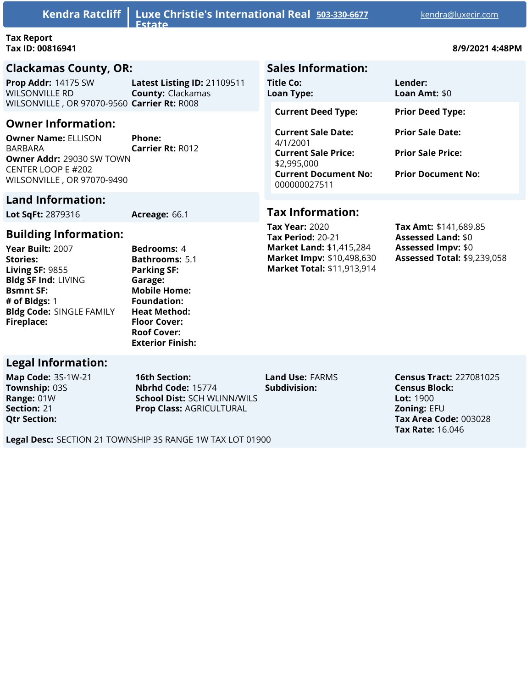| <b>Kendra Ratcliff</b>                                                                                                                              | Luxe Christie's International Real 503-330-6677<br><b>Fstate</b> |                                | kendra@luxecir.com                                                                                          |
|-----------------------------------------------------------------------------------------------------------------------------------------------------|------------------------------------------------------------------|--------------------------------|-------------------------------------------------------------------------------------------------------------|
| <b>Tax Report</b><br>Tax ID: 00816941                                                                                                               | 8/9/2021 4:48PM                                                  |                                |                                                                                                             |
| <b>Clackamas County, OR:</b>                                                                                                                        |                                                                  | <b>Sales Information:</b>      |                                                                                                             |
| Prop Addr: 14175 SW<br><b>WILSONVILLE RD</b><br>WILSONVILLE, OR 97070-9560 Carrier Rt: R008                                                         | Latest Listing ID: 21109511<br><b>County: Clackamas</b>          | Title Co:<br><b>Loan Type:</b> | Lender:<br>Loan Amt: $$0$                                                                                   |
| <b>Owner Information:</b><br><b>Owner Name: ELLISON</b><br>BARBARA<br>Owner Addr: 29030 SW TOWN<br>CENTER LOOP E #202<br>WILSONVILLE, OR 97070-9490 | Phone:<br><b>Carrier Rt: R012</b>                                |                                | <b>Prior Deed Type:</b><br><b>Prior Sale Date:</b><br><b>Prior Sale Price:</b><br><b>Prior Document No:</b> |

## **Land Information:**

**Lot SqFt:** 2879316 **Acreage:** 66.1

## **Building Information:**

**Year Built:** 2007 **Stories: Living SF:** 9855 **Bldg SF Ind:** LIVING **Bsmnt SF: # of Bldgs:** 1 **Bldg Code:** SINGLE FAMILY **Fireplace:**

**Bedrooms:** 4 **Bathrooms:** 5.1 **Parking SF: Garage: Mobile H Foundati Heat Met Floor** Cov **Roof** Cove **Exterior** 

## **Legal Information:**

**Map Code:** 3S-1W-21 **Township:** 03S **Range:** 01W **Section:** 21 **Qtr Section:**

**16th Section: Nbrhd Code:** 15774 **School Dist:** SCH WLINN/WILS **Prop Class:** AGRICULTURAL

**Land Use:** FARMS **Subdivision:**

**Census Tract:** 227081025 **Census Block: Lot:** 1900 **Zoning:** EFU **Tax Area Code:** 003028 **Tax Rate:** 16.046

**Tax Year:** 2020 **Tax Period:** 20-21 **Market Land:** \$1,415,284 **Market Impv:** \$10,498,630 **Market Total:** \$11,913,914

**Tax Information:**

**Tax Amt:** \$141,689.85 **Assessed Land:** \$0 **Assessed Impv:** \$0 **Assessed Total:** \$9,239,058

| ome:    |  |  |  |
|---------|--|--|--|
| ion:    |  |  |  |
| thod:   |  |  |  |
| /er:    |  |  |  |
| er:     |  |  |  |
| Finish: |  |  |  |
|         |  |  |  |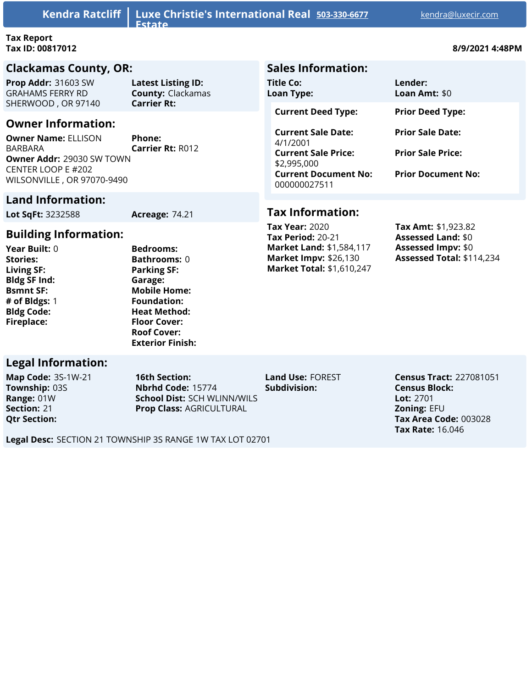| Kendra Ratcliff                                                                                                                                                   | Luxe Christie's International Real 503-330-6677<br><b>Fstate</b> |                                                                                                                                   | kendra@luxecir.com                                                               |
|-------------------------------------------------------------------------------------------------------------------------------------------------------------------|------------------------------------------------------------------|-----------------------------------------------------------------------------------------------------------------------------------|----------------------------------------------------------------------------------|
| <b>Tax Report</b><br>Tax ID: 00817012                                                                                                                             |                                                                  | 8/9/2021 4:48PM                                                                                                                   |                                                                                  |
| <b>Clackamas County, OR:</b>                                                                                                                                      |                                                                  | <b>Sales Information:</b>                                                                                                         |                                                                                  |
| Prop Addr: 31603 SW<br><b>GRAHAMS FERRY RD</b>                                                                                                                    | <b>Latest Listing ID:</b><br><b>County: Clackamas</b>            | Title Co:<br><b>Loan Type:</b>                                                                                                    | Lender:<br>Loan Amt: $$0$                                                        |
| SHERWOOD, OR 97140                                                                                                                                                | <b>Carrier Rt:</b>                                               | <b>Current Deed Type:</b>                                                                                                         | <b>Prior Deed Type:</b>                                                          |
| <b>Owner Information:</b><br><b>Owner Name: ELLISON</b><br><b>BARBARA</b><br><b>Owner Addr: 29030 SW TOWN</b><br>CENTER LOOP E #202<br>WILSONVILLE, OR 97070-9490 | Phone:<br><b>Carrier Rt: R012</b>                                | <b>Current Sale Date:</b><br>4/1/2001<br><b>Current Sale Price:</b><br>\$2,995,000<br><b>Current Document No:</b><br>000000027511 | <b>Prior Sale Date:</b><br><b>Prior Sale Price:</b><br><b>Prior Document No:</b> |
| <b>Land Information:</b><br>Lot SqFt: 3232588                                                                                                                     | <b>Acreage: 74.21</b>                                            | <b>Tax Information:</b>                                                                                                           |                                                                                  |

#### **Building Information:**

**Year Built:** 0 **Stories: Living SF: Bldg SF Ind: Bsmnt SF: # of Bldgs:** 1 **Bldg Code: Fireplace:**

**Bedrooms: Bathrooms:** 0 **Parking SF: Garage: Mobile Home: Foundation: Heat Method: Floor Cover: Roof Cover: Exterior Finish:**

#### **Legal Information:**

**Map Code:** 3S-1W-21 **Township:** 03S **Range:** 01W **Section:** 21 **Qtr Section:**

**16th Section: Nbrhd Code:** 15774 **School Dist:** SCH WLINN/WILS **Prop Class:** AGRICULTURAL

**Land Use:** FOREST **Subdivision:**

**Tax Year:** 2020 **Tax Period:** 20-21

**Market Land:** \$1,584,117 **Market Impv:** \$26,130 **Market Total:** \$1,610,247

> **Census Tract:** 227081051 **Census Block: Lot:** 2701 **Zoning:** EFU **Tax Area Code:** 003028 **Tax Rate:** 16.046

**Tax Amt:** \$1,923.82 **Assessed Land:** \$0 **Assessed Impv:** \$0 **Assessed Total:** \$114,234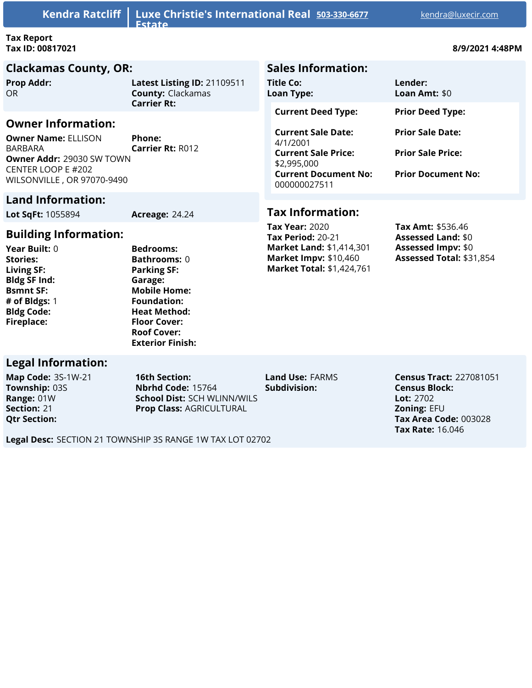| <b>Kendra Ratcliff</b>                                                                                                                                                                                         | Luxe Christie's International Real 503-330-6677<br><b>Estate</b>                                                |                                                                                | kendra@luxecir.com        |
|----------------------------------------------------------------------------------------------------------------------------------------------------------------------------------------------------------------|-----------------------------------------------------------------------------------------------------------------|--------------------------------------------------------------------------------|---------------------------|
| <b>Tax Report</b><br>Tax ID: 00817021                                                                                                                                                                          |                                                                                                                 |                                                                                | 8/9/2021 4:48PM           |
| <b>Clackamas County, OR:</b>                                                                                                                                                                                   |                                                                                                                 | <b>Sales Information:</b>                                                      |                           |
| <b>Prop Addr:</b><br>OR.                                                                                                                                                                                       | Latest Listing ID: 21109511<br><b>County: Clackamas</b>                                                         | Title Co:<br><b>Loan Type:</b>                                                 | Lender:<br>Loan Amt: $$0$ |
| <b>Carrier Rt:</b><br><b>Owner Information:</b><br><b>Owner Name: ELLISON</b><br>Phone:<br><b>Carrier Rt: R012</b><br>BARBARA<br>Owner Addr: 29030 SW TOWN<br>CENTER LOOP E #202<br>WILSONVILLE, OR 97070-9490 | <b>Current Deed Type:</b><br><b>Current Sale Date:</b><br>4/1/2001<br><b>Current Sale Price:</b><br>\$2,995,000 | <b>Prior Deed Type:</b><br><b>Prior Sale Date:</b><br><b>Prior Sale Price:</b> |                           |
|                                                                                                                                                                                                                |                                                                                                                 | <b>Current Document No:</b><br>000000027511                                    | <b>Prior Document No:</b> |
| <b>Land Information:</b>                                                                                                                                                                                       |                                                                                                                 |                                                                                |                           |
| $I$ ot SaFt: 1055894                                                                                                                                                                                           | $\Delta$ rreage: $24.24$                                                                                        | <b>Tax Information:</b>                                                        |                           |

**Lot SqFt:** 1055894 **Acreage:** 24.24

## **Building Information:**

**Year Built:** 0 **Stories: Living SF: Bldg SF Ind: Bsmnt SF: # of Bldgs:** 1 **Bldg Code: Fireplace:**

**Bedrooms: Bathrooms:** 0 **Parking SF: Garage: Mobile Home: Foundation: Heat Method: Floor Cover: Roof Cover: Exterior Finish:**

#### **Legal Information:**

**Map Code:** 3S-1W-21 **Township:** 03S **Range:** 01W **Section:** 21 **Qtr Section:**

**16th Section: Nbrhd Code:** 15764 **School Dist:** SCH WLINN/WILS **Prop Class:** AGRICULTURAL

**Land Use:** FARMS **Subdivision:**

**Tax Year:** 2020 **Tax Period:** 20-21

**Market Land:** \$1,414,301 **Market Impv:** \$10,460 **Market Total:** \$1,424,761

> **Census Tract:** 227081051 **Census Block: Lot:** 2702 **Zoning:** EFU **Tax Area Code:** 003028 **Tax Rate:** 16.046

**Tax Amt:** \$536.46 **Assessed Land:** \$0 **Assessed Impv:** \$0 **Assessed Total:** \$31,854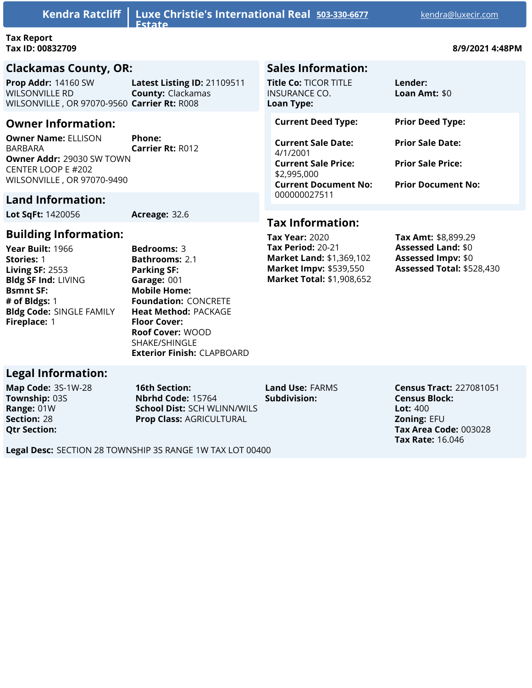**Kendra Ratcliff Luxe Christie's International Real Estate**

#### **Tax Report Tax ID: 00832709 8/9/2021 4:48PM**

#### **Clackamas County, OR:**

**Prop Addr:** 14160 SW WILSONVILLE RD WILSONVILLE , OR 97070-9560 **Carrier Rt:** R008 **Latest Listing ID:** 21109511 **County:** Clackamas

## **Owner Information:**

**Owner Name:** ELLISON BARBARA **Owner Addr:** 29030 SW TOWN CENTER LOOP E #202 WILSONVILLE , OR 97070-9490 **Phone:**

# **Carrier Rt:** R012

## **Land Information:**

**Lot SqFt:** 1420056 **Acreage:** 32.6

**Building Information:**

**Year Built:** 1966 **Stories:** 1 **Living SF:** 2553 **Bldg SF Ind:** LIVING **Bsmnt SF: # of Bldgs:** 1 **Bldg Code:** SINGLE FAMILY **Fireplace:** 1

**Bedrooms:** 3 **Bathrooms:** 2.1 **Parking SF: Garage:** 001 **Mobile Home: Foundation:** CONCRETE **Heat Method:** PACKAGE **Floor Cover: Roof Cover:** WOOD SHAKE/SHINGLE **Exterior Finish:** CLAPBOARD

## **Legal Information:**

**Map Code:** 3S-1W-28 **Township:** 03S **Range:** 01W **Section:** 28 **Qtr Section:**

**16th Section: Nbrhd Code:** 15764 **School Dist:** SCH WLINN/WILS **Prop Class:** AGRICULTURAL

**Land Use:** FARMS

**Census Tract:** 227081051 **Census Block: Lot:** 400 **Zoning:** EFU **Tax Area Code:** 003028 **Tax Rate:** 16.046

**Subdivision:**

**Legal Desc:** SECTION 28 TOWNSHIP 3S RANGE 1W TAX LOT 00400

## **Sales Information:**

| <b>Title Co:</b> TICOR TITLE<br>INSURANCE CO.<br>Loan Type: | Lender:<br>Loan Amt: \$0  |
|-------------------------------------------------------------|---------------------------|
| <b>Current Deed Type:</b>                                   | <b>Prior Deed Type:</b>   |
| <b>Current Sale Date:</b><br>4/1/2001                       | <b>Prior Sale Date:</b>   |
| <b>Current Sale Price:</b><br>\$2,995,000                   | <b>Prior Sale Price:</b>  |
| <b>Current Document No:</b><br>000000027511                 | <b>Prior Document No:</b> |

## **Tax Information:**

**Tax Year:** 2020 **Tax Period:** 20-21 **Market Land:** \$1,369,102 **Market Impv:** \$539,550 **Market Total:** \$1,908,652

**Tax Amt:** \$8,899.29 **Assessed Land:** \$0 **Assessed Impv:** \$0 **Assessed Total:** \$528,430